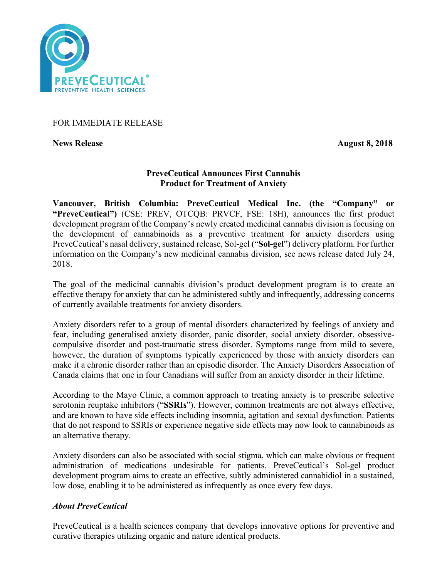

# FOR IMMEDIATE RELEASE

**News Release August 8, 2018** 

# **PreveCeutical Announces First Cannabis Product for Treatment of Anxiety**

**Vancouver, British Columbia: PreveCeutical Medical Inc. (the "Company" or "PreveCeutical")** (CSE: PREV, OTCQB: PRVCF, FSE: 18H), announces the first product development program of the Company's newly created medicinal cannabis division is focusing on the development of cannabinoids as a preventive treatment for anxiety disorders using PreveCeutical's nasal delivery, sustained release, Sol-gel ("**Sol-gel**") delivery platform. For further information on the Company's new medicinal cannabis division, see news release dated July 24, 2018.

The goal of the medicinal cannabis division's product development program is to create an effective therapy for anxiety that can be administered subtly and infrequently, addressing concerns of currently available treatments for anxiety disorders.

Anxiety disorders refer to a group of mental disorders characterized by feelings of anxiety and fear, including generalised anxiety disorder, panic disorder, social anxiety disorder, obsessivecompulsive disorder and post-traumatic stress disorder. Symptoms range from mild to severe, however, the duration of symptoms typically experienced by those with anxiety disorders can make it a chronic disorder rather than an episodic disorder. The Anxiety Disorders Association of Canada claims that one in four Canadians will suffer from an anxiety disorder in their lifetime.

According to the Mayo Clinic, a common approach to treating anxiety is to prescribe selective serotonin reuptake inhibitors ("**SSRIs**"). However, common treatments are not always effective, and are known to have side effects including insomnia, agitation and sexual dysfunction. Patients that do not respond to SSRIs or experience negative side effects may now look to cannabinoids as an alternative therapy.

Anxiety disorders can also be associated with social stigma, which can make obvious or frequent administration of medications undesirable for patients. PreveCeutical's Sol-gel product development program aims to create an effective, subtly administered cannabidiol in a sustained, low dose, enabling it to be administered as infrequently as once every few days.

# *About PreveCeutical*

PreveCeutical is a health sciences company that develops innovative options for preventive and curative therapies utilizing organic and nature identical products.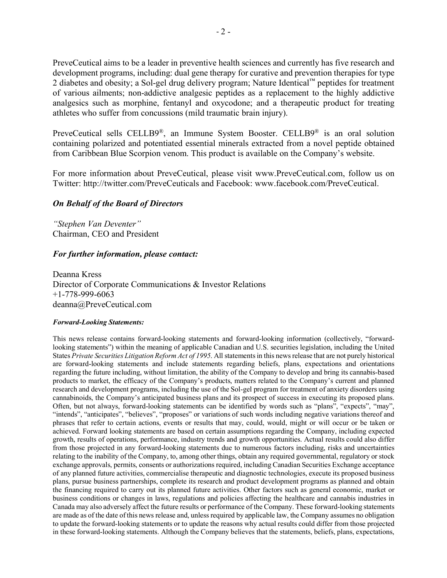PreveCeutical aims to be a leader in preventive health sciences and currently has five research and development programs, including: dual gene therapy for curative and prevention therapies for type 2 diabetes and obesity; a Sol-gel drug delivery program; Nature Identical™ peptides for treatment of various ailments; non-addictive analgesic peptides as a replacement to the highly addictive analgesics such as morphine, fentanyl and oxycodone; and a therapeutic product for treating athletes who suffer from concussions (mild traumatic brain injury).

PreveCeutical sells CELLB9®, an Immune System Booster. CELLB9® is an oral solution containing polarized and potentiated essential minerals extracted from a novel peptide obtained from Caribbean Blue Scorpion venom. This product is available on the Company's website.

For more information about PreveCeutical, please visit www.PreveCeutical.com, follow us on Twitter: http://twitter.com/PreveCeuticals and Facebook: www.facebook.com/PreveCeutical.

### *On Behalf of the Board of Directors*

*"Stephen Van Deventer"* Chairman, CEO and President

### *For further information, please contact:*

Deanna Kress Director of Corporate Communications & Investor Relations +1-778-999-6063 deanna@PreveCeutical.com

#### *Forward-Looking Statements:*

This news release contains forward-looking statements and forward-looking information (collectively, "forwardlooking statements") within the meaning of applicable Canadian and U.S. securities legislation, including the United States *Private Securities Litigation Reform Act of 1995*. All statements in this news release that are not purely historical are forward-looking statements and include statements regarding beliefs, plans, expectations and orientations regarding the future including, without limitation, the ability of the Company to develop and bring its cannabis-based products to market, the efficacy of the Company's products, matters related to the Company's current and planned research and development programs, including the use of the Sol-gel program for treatment of anxiety disorders using cannabinoids, the Company's anticipated business plans and its prospect of success in executing its proposed plans. Often, but not always, forward-looking statements can be identified by words such as "plans", "expects", "may", "intends", "anticipates", "believes", "proposes" or variations of such words including negative variations thereof and phrases that refer to certain actions, events or results that may, could, would, might or will occur or be taken or achieved. Forward looking statements are based on certain assumptions regarding the Company, including expected growth, results of operations, performance, industry trends and growth opportunities. Actual results could also differ from those projected in any forward-looking statements due to numerous factors including, risks and uncertainties relating to the inability of the Company, to, among other things, obtain any required governmental, regulatory or stock exchange approvals, permits, consents or authorizations required, including Canadian Securities Exchange acceptance of any planned future activities, commercialise therapeutic and diagnostic technologies, execute its proposed business plans, pursue business partnerships, complete its research and product development programs as planned and obtain the financing required to carry out its planned future activities. Other factors such as general economic, market or business conditions or changes in laws, regulations and policies affecting the healthcare and cannabis industries in Canada may also adversely affect the future results or performance of the Company. These forward-looking statements are made as of the date of this news release and, unless required by applicable law, the Company assumes no obligation to update the forward-looking statements or to update the reasons why actual results could differ from those projected in these forward-looking statements. Although the Company believes that the statements, beliefs, plans, expectations,